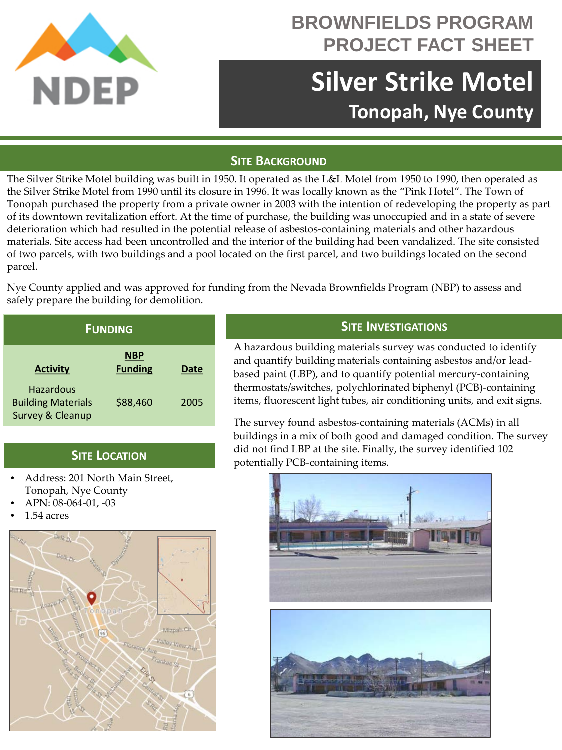

## **BROWNFIELDS PROGRAM PROJECT FACT SHEET**

# **Silver Strike Motel Tonopah, Nye County**

#### **SITE BACKGROUND**

The Silver Strike Motel building was built in 1950. It operated as the L&L Motel from 1950 to 1990, then operated as the Silver Strike Motel from 1990 until its closure in 1996. It was locally known as the "Pink Hotel". The Town of Tonopah purchased the property from a private owner in 2003 with the intention of redeveloping the property as part of its downtown revitalization effort. At the time of purchase, the building was unoccupied and in a state of severe deterioration which had resulted in the potential release of asbestos-containing materials and other hazardous materials. Site access had been uncontrolled and the interior of the building had been vandalized. The site consisted of two parcels, with two buildings and a pool located on the first parcel, and two buildings located on the second parcel.

Nye County applied and was approved for funding from the Nevada Brownfields Program (NBP) to assess and safely prepare the building for demolition.

| <b>FUNDING</b>                                             |                              |      |
|------------------------------------------------------------|------------------------------|------|
| <b>Activity</b>                                            | <b>NBP</b><br><b>Funding</b> | Date |
| Hazardous<br><b>Building Materials</b><br>Survey & Cleanup | \$88,460                     | 2005 |

### **SITE LOCATION**

- Address: 201 North Main Street, Tonopah, Nye County
- APN: 08-064-01, -03
- 1.54 acres



#### **SITE INVESTIGATIONS**

A hazardous building materials survey was conducted to identify and quantify building materials containing asbestos and/or leadbased paint (LBP), and to quantify potential mercury-containing thermostats/switches, polychlorinated biphenyl (PCB)-containing items, fluorescent light tubes, air conditioning units, and exit signs.

The survey found asbestos-containing materials (ACMs) in all buildings in a mix of both good and damaged condition. The survey did not find LBP at the site. Finally, the survey identified 102 potentially PCB-containing items.